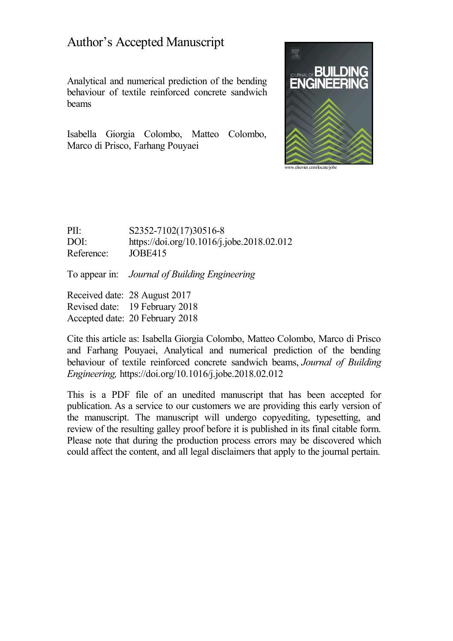### Author's Accepted Manuscript

Analytical and numerical prediction of the bending behaviour of textile reinforced concrete sandwich beams

Isabella Giorgia Colombo, Matteo Colombo, Marco di Prisco, Farhang Pouyaei



PII: S2352-7102(17)30516-8 DOI: <https://doi.org/10.1016/j.jobe.2018.02.012> Reference: JOBE415

To appear in: *Journal of Building Engineering*

Received date: 28 August 2017 Revised date: 19 February 2018 Accepted date: 20 February 2018

Cite this article as: Isabella Giorgia Colombo, Matteo Colombo, Marco di Prisco and Farhang Pouyaei, Analytical and numerical prediction of the bending behaviour of textile reinforced concrete sandwich beams, *Journal of Building Engineering,* <https://doi.org/10.1016/j.jobe.2018.02.012>

This is a PDF file of an unedited manuscript that has been accepted for publication. As a service to our customers we are providing this early version of the manuscript. The manuscript will undergo copyediting, typesetting, and review of the resulting galley proof before it is published in its final citable form. Please note that during the production process errors may be discovered which could affect the content, and all legal disclaimers that apply to the journal pertain.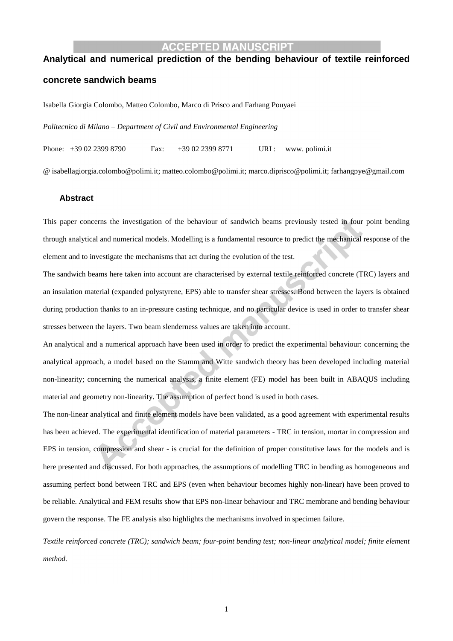#### **ACCEPTED MANUSCRIPT**

## **Analytical and numerical prediction of the bending behaviour of textile reinforced concrete sandwich beams**

Isabella Giorgia Colombo, Matteo Colombo, Marco di Prisco and Farhang Pouyaei

*Politecnico di Milano – Department of Civil and Environmental Engineering*

Phone: +39 02 2399 8790 Fax: +39 02 2399 8771 URL: www. polimi.it

@ isabellagiorgia.colombo@polimi.it; matteo.colombo@polimi.it; marco.diprisco@polimi.it; farhangpye@gmail.com

#### **Abstract**

This paper concerns the investigation of the behaviour of sandwich beams previously tested in four point bending through analytical and numerical models. Modelling is a fundamental resource to predict the mechanical response of the element and to investigate the mechanisms that act during the evolution of the test.

The sandwich beams here taken into account are characterised by external textile reinforced concrete (TRC) layers and an insulation material (expanded polystyrene, EPS) able to transfer shear stresses. Bond between the layers is obtained during production thanks to an in-pressure casting technique, and no particular device is used in order to transfer shear stresses between the layers. Two beam slenderness values are taken into account.

An analytical and a numerical approach have been used in order to predict the experimental behaviour: concerning the analytical approach, a model based on the Stamm and Witte sandwich theory has been developed including material non-linearity; concerning the numerical analysis, a finite element (FE) model has been built in ABAQUS including material and geometry non-linearity. The assumption of perfect bond is used in both cases.

The non-linear analytical and finite element models have been validated, as a good agreement with experimental results has been achieved. The experimental identification of material parameters - TRC in tension, mortar in compression and EPS in tension, compression and shear - is crucial for the definition of proper constitutive laws for the models and is here presented and discussed. For both approaches, the assumptions of modelling TRC in bending as homogeneous and assuming perfect bond between TRC and EPS (even when behaviour becomes highly non-linear) have been proved to be reliable. Analytical and FEM results show that EPS non-linear behaviour and TRC membrane and bending behaviour govern the response. The FE analysis also highlights the mechanisms involved in specimen failure.

*Textile reinforced concrete (TRC); sandwich beam; four-point bending test; non-linear analytical model; finite element method.*